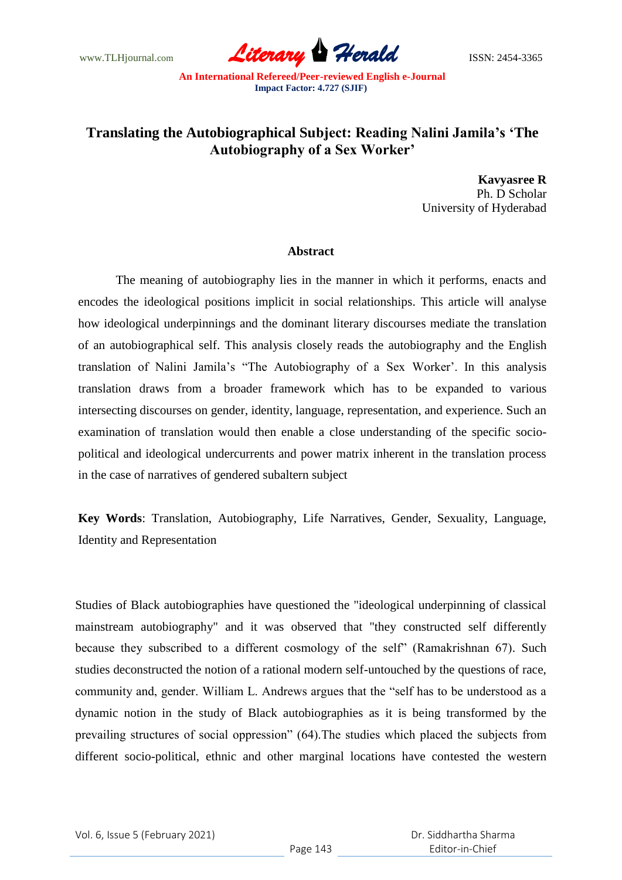www.TLHjournal.com *Literary Herald*ISSN: 2454-3365

## **Translating the Autobiographical Subject: Reading Nalini Jamila's 'The Autobiography of a Sex Worker'**

**Kavyasree R** Ph. D Scholar University of Hyderabad

## **Abstract**

The meaning of autobiography lies in the manner in which it performs, enacts and encodes the ideological positions implicit in social relationships. This article will analyse how ideological underpinnings and the dominant literary discourses mediate the translation of an autobiographical self. This analysis closely reads the autobiography and the English translation of Nalini Jamila"s "The Autobiography of a Sex Worker". In this analysis translation draws from a broader framework which has to be expanded to various intersecting discourses on gender, identity, language, representation, and experience. Such an examination of translation would then enable a close understanding of the specific sociopolitical and ideological undercurrents and power matrix inherent in the translation process in the case of narratives of gendered subaltern subject

**Key Words**: Translation, Autobiography, Life Narratives, Gender, Sexuality, Language, Identity and Representation

Studies of Black autobiographies have questioned the "ideological underpinning of classical mainstream autobiography" and it was observed that "they constructed self differently because they subscribed to a different cosmology of the self" (Ramakrishnan 67). Such studies deconstructed the notion of a rational modern self-untouched by the questions of race, community and, gender. William L. Andrews argues that the "self has to be understood as a dynamic notion in the study of Black autobiographies as it is being transformed by the prevailing structures of social oppression" (64).The studies which placed the subjects from different socio-political, ethnic and other marginal locations have contested the western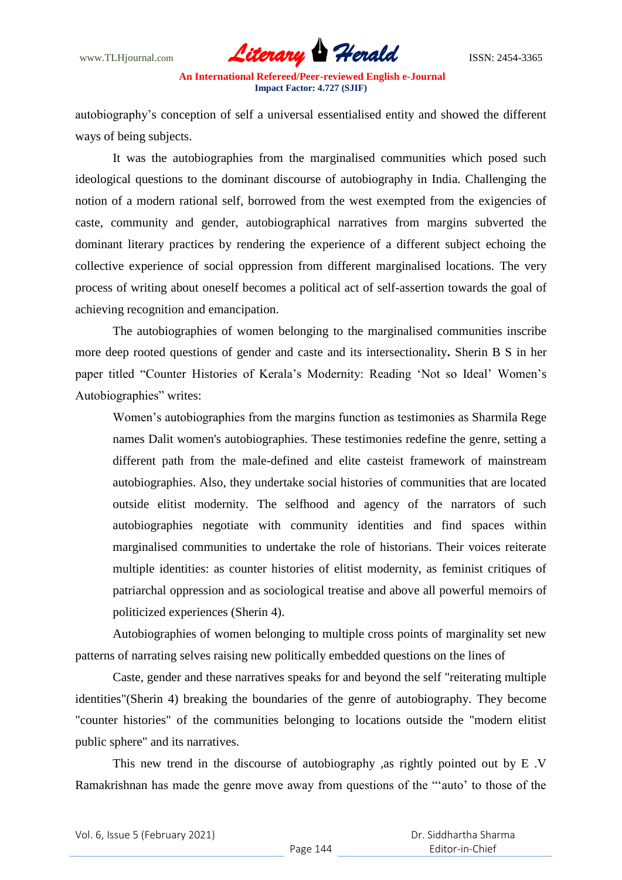

autobiography"s conception of self a universal essentialised entity and showed the different ways of being subjects.

It was the autobiographies from the marginalised communities which posed such ideological questions to the dominant discourse of autobiography in India. Challenging the notion of a modern rational self, borrowed from the west exempted from the exigencies of caste, community and gender, autobiographical narratives from margins subverted the dominant literary practices by rendering the experience of a different subject echoing the collective experience of social oppression from different marginalised locations. The very process of writing about oneself becomes a political act of self-assertion towards the goal of achieving recognition and emancipation.

The autobiographies of women belonging to the marginalised communities inscribe more deep rooted questions of gender and caste and its intersectionality**.** Sherin B S in her paper titled "Counter Histories of Kerala's Modernity: Reading 'Not so Ideal' Women's Autobiographies" writes:

Women"s autobiographies from the margins function as testimonies as Sharmila Rege names Dalit women's autobiographies. These testimonies redefine the genre, setting a different path from the male-defined and elite casteist framework of mainstream autobiographies. Also, they undertake social histories of communities that are located outside elitist modernity. The selfhood and agency of the narrators of such autobiographies negotiate with community identities and find spaces within marginalised communities to undertake the role of historians. Their voices reiterate multiple identities: as counter histories of elitist modernity, as feminist critiques of patriarchal oppression and as sociological treatise and above all powerful memoirs of politicized experiences (Sherin 4).

Autobiographies of women belonging to multiple cross points of marginality set new patterns of narrating selves raising new politically embedded questions on the lines of

Caste, gender and these narratives speaks for and beyond the self "reiterating multiple identities"(Sherin 4) breaking the boundaries of the genre of autobiography. They become "counter histories" of the communities belonging to locations outside the "modern elitist public sphere" and its narratives.

This new trend in the discourse of autobiography ,as rightly pointed out by E .V Ramakrishnan has made the genre move away from questions of the ""auto" to those of the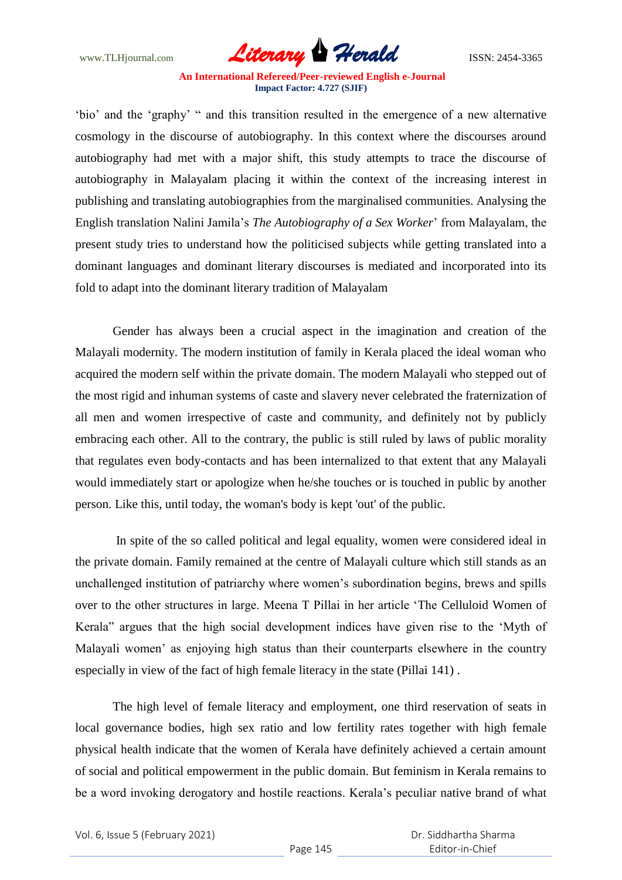

"bio" and the "graphy" " and this transition resulted in the emergence of a new alternative cosmology in the discourse of autobiography. In this context where the discourses around autobiography had met with a major shift, this study attempts to trace the discourse of autobiography in Malayalam placing it within the context of the increasing interest in publishing and translating autobiographies from the marginalised communities. Analysing the English translation Nalini Jamila"s *The Autobiography of a Sex Worker*" from Malayalam, the present study tries to understand how the politicised subjects while getting translated into a dominant languages and dominant literary discourses is mediated and incorporated into its fold to adapt into the dominant literary tradition of Malayalam

Gender has always been a crucial aspect in the imagination and creation of the Malayali modernity. The modern institution of family in Kerala placed the ideal woman who acquired the modern self within the private domain. The modern Malayali who stepped out of the most rigid and inhuman systems of caste and slavery never celebrated the fraternization of all men and women irrespective of caste and community, and definitely not by publicly embracing each other. All to the contrary, the public is still ruled by laws of public morality that regulates even body-contacts and has been internalized to that extent that any Malayali would immediately start or apologize when he/she touches or is touched in public by another person. Like this, until today, the woman's body is kept 'out' of the public.

In spite of the so called political and legal equality, women were considered ideal in the private domain. Family remained at the centre of Malayali culture which still stands as an unchallenged institution of patriarchy where women"s subordination begins, brews and spills over to the other structures in large. Meena T Pillai in her article "The Celluloid Women of Kerala" argues that the high social development indices have given rise to the "Myth of Malayali women' as enjoying high status than their counterparts elsewhere in the country especially in view of the fact of high female literacy in the state (Pillai 141) .

The high level of female literacy and employment, one third reservation of seats in local governance bodies, high sex ratio and low fertility rates together with high female physical health indicate that the women of Kerala have definitely achieved a certain amount of social and political empowerment in the public domain. But feminism in Kerala remains to be a word invoking derogatory and hostile reactions. Kerala"s peculiar native brand of what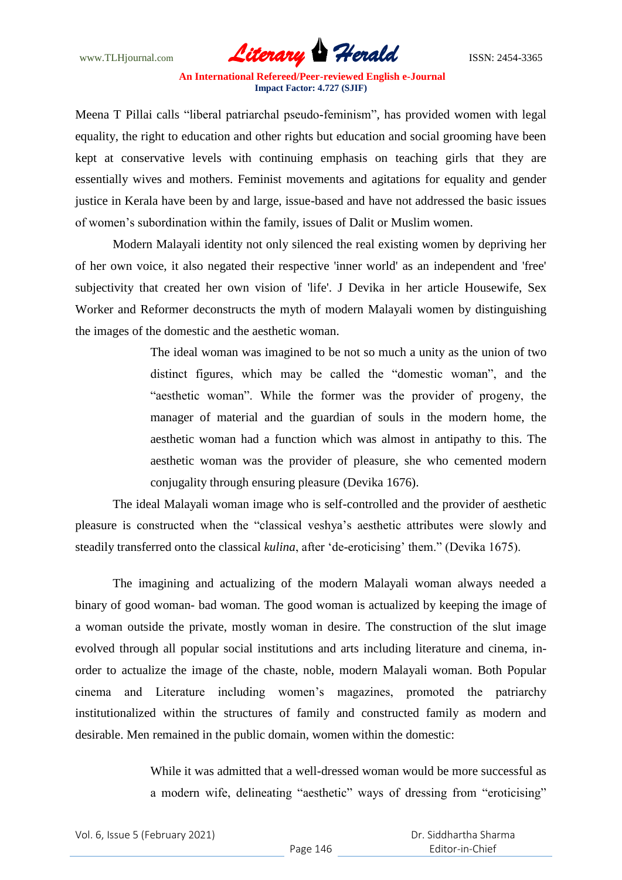

Meena T Pillai calls "liberal patriarchal pseudo-feminism", has provided women with legal equality, the right to education and other rights but education and social grooming have been kept at conservative levels with continuing emphasis on teaching girls that they are essentially wives and mothers. Feminist movements and agitations for equality and gender justice in Kerala have been by and large, issue-based and have not addressed the basic issues of women"s subordination within the family, issues of Dalit or Muslim women.

Modern Malayali identity not only silenced the real existing women by depriving her of her own voice, it also negated their respective 'inner world' as an independent and 'free' subjectivity that created her own vision of 'life'. J Devika in her article Housewife, Sex Worker and Reformer deconstructs the myth of modern Malayali women by distinguishing the images of the domestic and the aesthetic woman.

> The ideal woman was imagined to be not so much a unity as the union of two distinct figures, which may be called the "domestic woman", and the "aesthetic woman". While the former was the provider of progeny, the manager of material and the guardian of souls in the modern home, the aesthetic woman had a function which was almost in antipathy to this. The aesthetic woman was the provider of pleasure, she who cemented modern conjugality through ensuring pleasure (Devika 1676).

The ideal Malayali woman image who is self-controlled and the provider of aesthetic pleasure is constructed when the "classical veshya"s aesthetic attributes were slowly and steadily transferred onto the classical *kulina*, after 'de-eroticising' them." (Devika 1675).

The imagining and actualizing of the modern Malayali woman always needed a binary of good woman- bad woman. The good woman is actualized by keeping the image of a woman outside the private, mostly woman in desire. The construction of the slut image evolved through all popular social institutions and arts including literature and cinema, inorder to actualize the image of the chaste, noble, modern Malayali woman. Both Popular cinema and Literature including women"s magazines, promoted the patriarchy institutionalized within the structures of family and constructed family as modern and desirable. Men remained in the public domain, women within the domestic:

> While it was admitted that a well-dressed woman would be more successful as a modern wife, delineating "aesthetic" ways of dressing from "eroticising"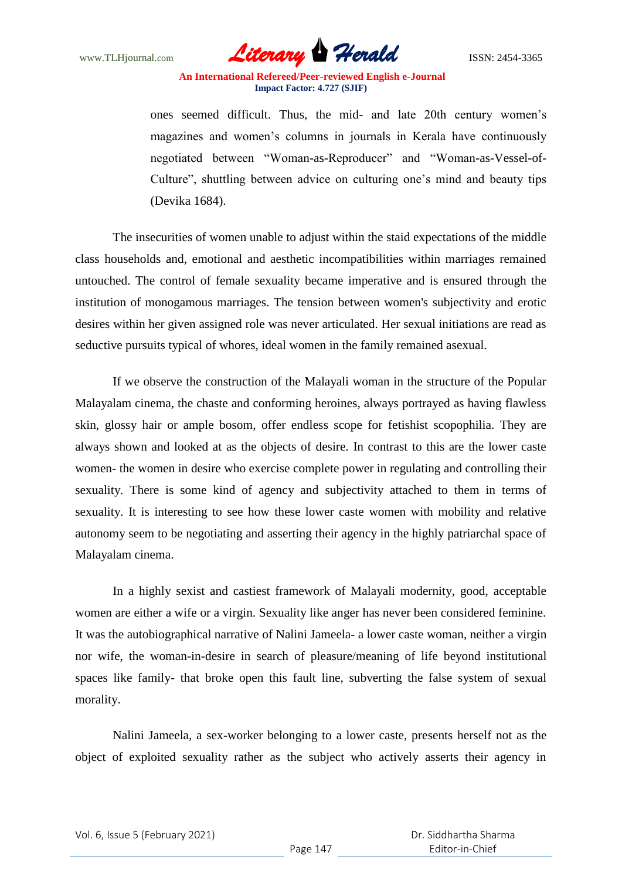

ones seemed difficult. Thus, the mid- and late 20th century women"s magazines and women's columns in journals in Kerala have continuously negotiated between "Woman-as-Reproducer" and "Woman-as-Vessel-of-Culture", shuttling between advice on culturing one"s mind and beauty tips (Devika 1684).

The insecurities of women unable to adjust within the staid expectations of the middle class households and, emotional and aesthetic incompatibilities within marriages remained untouched. The control of female sexuality became imperative and is ensured through the institution of monogamous marriages. The tension between women's subjectivity and erotic desires within her given assigned role was never articulated. Her sexual initiations are read as seductive pursuits typical of whores, ideal women in the family remained asexual.

If we observe the construction of the Malayali woman in the structure of the Popular Malayalam cinema, the chaste and conforming heroines, always portrayed as having flawless skin, glossy hair or ample bosom, offer endless scope for fetishist scopophilia. They are always shown and looked at as the objects of desire. In contrast to this are the lower caste women- the women in desire who exercise complete power in regulating and controlling their sexuality. There is some kind of agency and subjectivity attached to them in terms of sexuality. It is interesting to see how these lower caste women with mobility and relative autonomy seem to be negotiating and asserting their agency in the highly patriarchal space of Malayalam cinema.

In a highly sexist and castiest framework of Malayali modernity, good, acceptable women are either a wife or a virgin. Sexuality like anger has never been considered feminine. It was the autobiographical narrative of Nalini Jameela- a lower caste woman, neither a virgin nor wife, the woman-in-desire in search of pleasure/meaning of life beyond institutional spaces like family- that broke open this fault line, subverting the false system of sexual morality.

Nalini Jameela, a sex-worker belonging to a lower caste, presents herself not as the object of exploited sexuality rather as the subject who actively asserts their agency in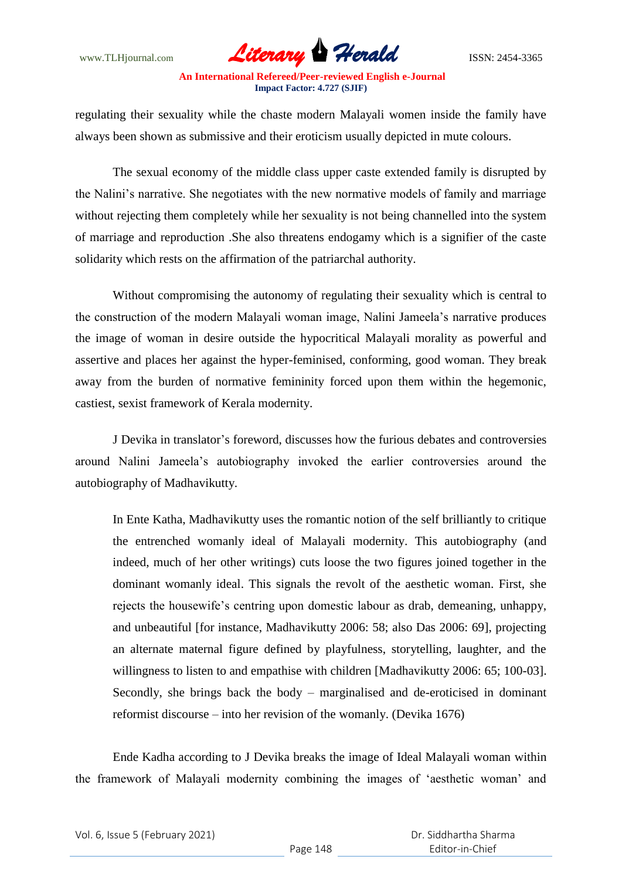www.TLHjournal.com **Literary Herald Herald** ISSN: 2454-3365

regulating their sexuality while the chaste modern Malayali women inside the family have always been shown as submissive and their eroticism usually depicted in mute colours.

The sexual economy of the middle class upper caste extended family is disrupted by the Nalini"s narrative. She negotiates with the new normative models of family and marriage without rejecting them completely while her sexuality is not being channelled into the system of marriage and reproduction .She also threatens endogamy which is a signifier of the caste solidarity which rests on the affirmation of the patriarchal authority.

Without compromising the autonomy of regulating their sexuality which is central to the construction of the modern Malayali woman image, Nalini Jameela"s narrative produces the image of woman in desire outside the hypocritical Malayali morality as powerful and assertive and places her against the hyper-feminised, conforming, good woman. They break away from the burden of normative femininity forced upon them within the hegemonic, castiest, sexist framework of Kerala modernity.

J Devika in translator"s foreword, discusses how the furious debates and controversies around Nalini Jameela"s autobiography invoked the earlier controversies around the autobiography of Madhavikutty.

In Ente Katha, Madhavikutty uses the romantic notion of the self brilliantly to critique the entrenched womanly ideal of Malayali modernity. This autobiography (and indeed, much of her other writings) cuts loose the two figures joined together in the dominant womanly ideal. This signals the revolt of the aesthetic woman. First, she rejects the housewife"s centring upon domestic labour as drab, demeaning, unhappy, and unbeautiful [for instance, Madhavikutty 2006: 58; also Das 2006: 69], projecting an alternate maternal figure defined by playfulness, storytelling, laughter, and the willingness to listen to and empathise with children [Madhavikutty 2006: 65; 100-03]. Secondly, she brings back the body – marginalised and de-eroticised in dominant reformist discourse – into her revision of the womanly. (Devika 1676)

Ende Kadha according to J Devika breaks the image of Ideal Malayali woman within the framework of Malayali modernity combining the images of "aesthetic woman" and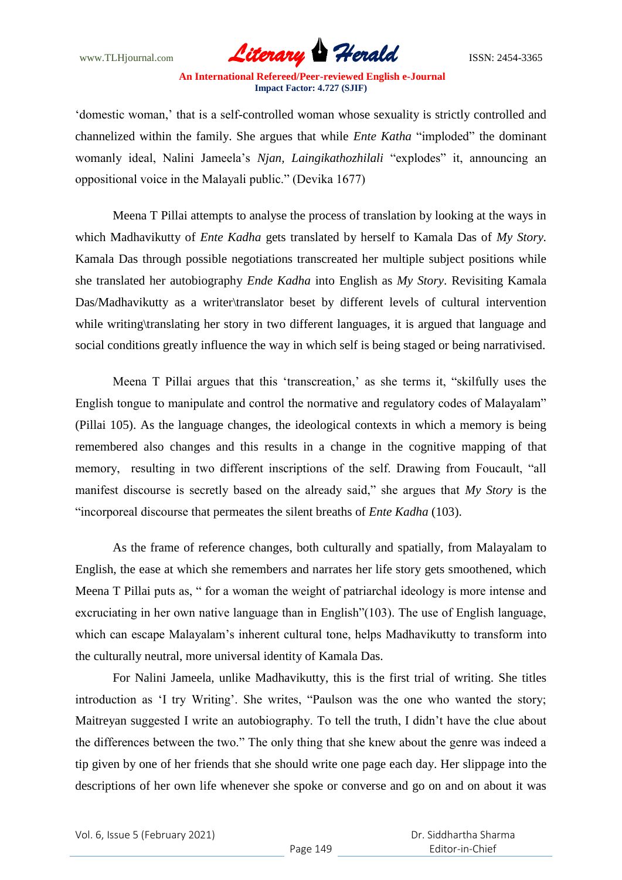

"domestic woman," that is a self-controlled woman whose sexuality is strictly controlled and channelized within the family. She argues that while *Ente Katha* "imploded" the dominant womanly ideal, Nalini Jameela"s *Njan, Laingikathozhilali* "explodes" it, announcing an oppositional voice in the Malayali public." (Devika 1677)

Meena T Pillai attempts to analyse the process of translation by looking at the ways in which Madhavikutty of *Ente Kadha* gets translated by herself to Kamala Das of *My Story.* Kamala Das through possible negotiations transcreated her multiple subject positions while she translated her autobiography *Ende Kadha* into English as *My Story*. Revisiting Kamala Das/Madhavikutty as a writer\translator beset by different levels of cultural intervention while writing\translating her story in two different languages, it is argued that language and social conditions greatly influence the way in which self is being staged or being narrativised.

Meena T Pillai argues that this 'transcreation,' as she terms it, "skilfully uses the English tongue to manipulate and control the normative and regulatory codes of Malayalam" (Pillai 105). As the language changes, the ideological contexts in which a memory is being remembered also changes and this results in a change in the cognitive mapping of that memory, resulting in two different inscriptions of the self. Drawing from Foucault, "all manifest discourse is secretly based on the already said," she argues that *My Story* is the "incorporeal discourse that permeates the silent breaths of *Ente Kadha* (103).

As the frame of reference changes, both culturally and spatially, from Malayalam to English, the ease at which she remembers and narrates her life story gets smoothened, which Meena T Pillai puts as, " for a woman the weight of patriarchal ideology is more intense and excruciating in her own native language than in English"(103). The use of English language, which can escape Malayalam"s inherent cultural tone, helps Madhavikutty to transform into the culturally neutral, more universal identity of Kamala Das.

For Nalini Jameela, unlike Madhavikutty, this is the first trial of writing. She titles introduction as 'I try Writing'. She writes, "Paulson was the one who wanted the story; Maitreyan suggested I write an autobiography. To tell the truth, I didn"t have the clue about the differences between the two." The only thing that she knew about the genre was indeed a tip given by one of her friends that she should write one page each day. Her slippage into the descriptions of her own life whenever she spoke or converse and go on and on about it was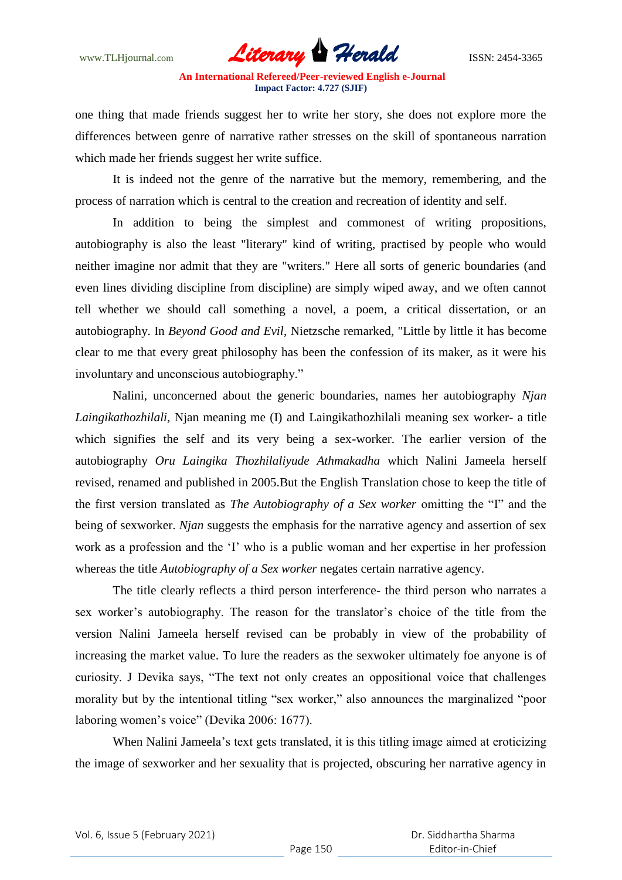

one thing that made friends suggest her to write her story, she does not explore more the differences between genre of narrative rather stresses on the skill of spontaneous narration which made her friends suggest her write suffice.

It is indeed not the genre of the narrative but the memory, remembering, and the process of narration which is central to the creation and recreation of identity and self.

In addition to being the simplest and commonest of writing propositions, autobiography is also the least "literary" kind of writing, practised by people who would neither imagine nor admit that they are "writers." Here all sorts of generic boundaries (and even lines dividing discipline from discipline) are simply wiped away, and we often cannot tell whether we should call something a novel, a poem, a critical dissertation, or an autobiography. In *Beyond Good and Evil*, Nietzsche remarked, "Little by little it has become clear to me that every great philosophy has been the confession of its maker, as it were his involuntary and unconscious autobiography."

Nalini, unconcerned about the generic boundaries, names her autobiography *Njan Laingikathozhilali,* Njan meaning me (I) and Laingikathozhilali meaning sex worker- a title which signifies the self and its very being a sex-worker. The earlier version of the autobiography *Oru Laingika Thozhilaliyude Athmakadha* which Nalini Jameela herself revised, renamed and published in 2005.But the English Translation chose to keep the title of the first version translated as *The Autobiography of a Sex worker* omitting the "I" and the being of sexworker. *Njan* suggests the emphasis for the narrative agency and assertion of sex work as a profession and the "I" who is a public woman and her expertise in her profession whereas the title *Autobiography of a Sex worker* negates certain narrative agency.

The title clearly reflects a third person interference- the third person who narrates a sex worker's autobiography. The reason for the translator's choice of the title from the version Nalini Jameela herself revised can be probably in view of the probability of increasing the market value. To lure the readers as the sexwoker ultimately foe anyone is of curiosity. J Devika says, "The text not only creates an oppositional voice that challenges morality but by the intentional titling "sex worker," also announces the marginalized "poor laboring women"s voice" (Devika 2006: 1677).

When Nalini Jameela"s text gets translated, it is this titling image aimed at eroticizing the image of sexworker and her sexuality that is projected, obscuring her narrative agency in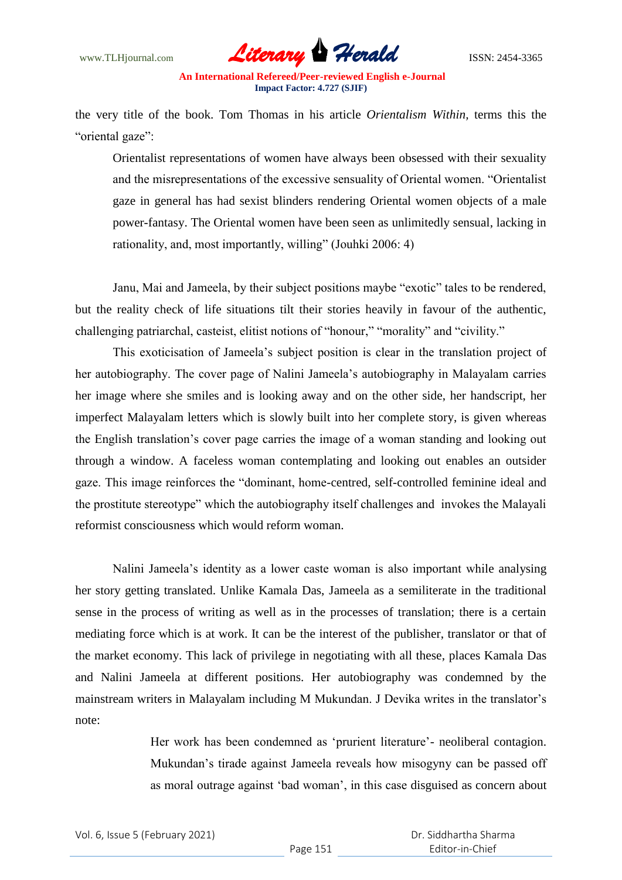

the very title of the book. Tom Thomas in his article *Orientalism Within,* terms this the "oriental gaze":

Orientalist representations of women have always been obsessed with their sexuality and the misrepresentations of the excessive sensuality of Oriental women. "Orientalist gaze in general has had sexist blinders rendering Oriental women objects of a male power-fantasy. The Oriental women have been seen as unlimitedly sensual, lacking in rationality, and, most importantly, willing" (Jouhki 2006: 4)

Janu, Mai and Jameela, by their subject positions maybe "exotic" tales to be rendered, but the reality check of life situations tilt their stories heavily in favour of the authentic, challenging patriarchal, casteist, elitist notions of "honour," "morality" and "civility."

This exoticisation of Jameela"s subject position is clear in the translation project of her autobiography. The cover page of Nalini Jameela"s autobiography in Malayalam carries her image where she smiles and is looking away and on the other side, her handscript, her imperfect Malayalam letters which is slowly built into her complete story, is given whereas the English translation"s cover page carries the image of a woman standing and looking out through a window. A faceless woman contemplating and looking out enables an outsider gaze. This image reinforces the "dominant, home-centred, self-controlled feminine ideal and the prostitute stereotype" which the autobiography itself challenges and invokes the Malayali reformist consciousness which would reform woman.

Nalini Jameela"s identity as a lower caste woman is also important while analysing her story getting translated. Unlike Kamala Das, Jameela as a semiliterate in the traditional sense in the process of writing as well as in the processes of translation; there is a certain mediating force which is at work. It can be the interest of the publisher, translator or that of the market economy. This lack of privilege in negotiating with all these, places Kamala Das and Nalini Jameela at different positions. Her autobiography was condemned by the mainstream writers in Malayalam including M Mukundan. J Devika writes in the translator"s note:

> Her work has been condemned as 'prurient literature'- neoliberal contagion. Mukundan"s tirade against Jameela reveals how misogyny can be passed off as moral outrage against "bad woman", in this case disguised as concern about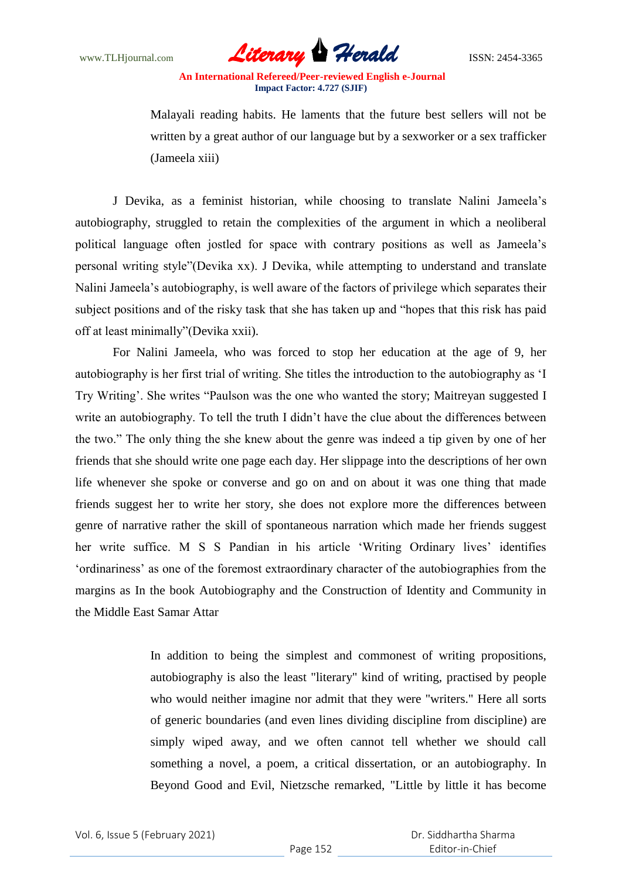

Malayali reading habits. He laments that the future best sellers will not be written by a great author of our language but by a sexworker or a sex trafficker (Jameela xiii)

J Devika, as a feminist historian, while choosing to translate Nalini Jameela"s autobiography, struggled to retain the complexities of the argument in which a neoliberal political language often jostled for space with contrary positions as well as Jameela"s personal writing style"(Devika xx). J Devika, while attempting to understand and translate Nalini Jameela"s autobiography, is well aware of the factors of privilege which separates their subject positions and of the risky task that she has taken up and "hopes that this risk has paid off at least minimally"(Devika xxii).

For Nalini Jameela, who was forced to stop her education at the age of 9, her autobiography is her first trial of writing. She titles the introduction to the autobiography as "I Try Writing'. She writes "Paulson was the one who wanted the story; Maitreyan suggested I write an autobiography. To tell the truth I didn't have the clue about the differences between the two." The only thing the she knew about the genre was indeed a tip given by one of her friends that she should write one page each day. Her slippage into the descriptions of her own life whenever she spoke or converse and go on and on about it was one thing that made friends suggest her to write her story, she does not explore more the differences between genre of narrative rather the skill of spontaneous narration which made her friends suggest her write suffice. M S S Pandian in his article 'Writing Ordinary lives' identifies "ordinariness" as one of the foremost extraordinary character of the autobiographies from the margins as In the book Autobiography and the Construction of Identity and Community in the Middle East Samar Attar

> In addition to being the simplest and commonest of writing propositions, autobiography is also the least "literary" kind of writing, practised by people who would neither imagine nor admit that they were "writers." Here all sorts of generic boundaries (and even lines dividing discipline from discipline) are simply wiped away, and we often cannot tell whether we should call something a novel, a poem, a critical dissertation, or an autobiography. In Beyond Good and Evil, Nietzsche remarked, "Little by little it has become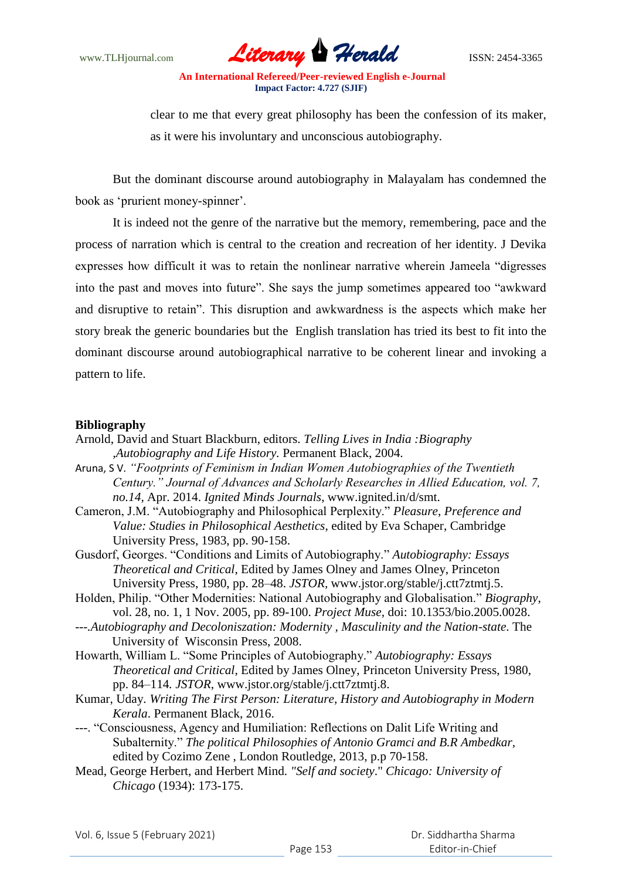www.TLHjournal.com **Literary Herald Herald** ISSN: 2454-3365

clear to me that every great philosophy has been the confession of its maker, as it were his involuntary and unconscious autobiography.

But the dominant discourse around autobiography in Malayalam has condemned the book as "prurient money-spinner".

It is indeed not the genre of the narrative but the memory, remembering, pace and the process of narration which is central to the creation and recreation of her identity. J Devika expresses how difficult it was to retain the nonlinear narrative wherein Jameela "digresses into the past and moves into future". She says the jump sometimes appeared too "awkward and disruptive to retain". This disruption and awkwardness is the aspects which make her story break the generic boundaries but the English translation has tried its best to fit into the dominant discourse around autobiographical narrative to be coherent linear and invoking a pattern to life.

## **Bibliography**

- Arnold, David and Stuart Blackburn, editors. *Telling Lives in India :Biography ,Autobiography and Life History.* Permanent Black, 2004.
- Aruna, S V. *"Footprints of Feminism in Indian Women Autobiographies of the Twentieth Century." Journal of Advances and Scholarly Researches in Allied Education, vol. 7, no.14,* Apr. 2014. *Ignited Minds Journals*, www.ignited.in/d/smt.
- Cameron, J.M. "Autobiography and Philosophical Perplexity." *Pleasure*, *Preference and Value: Studies in Philosophical Aesthetics*, edited by Eva Schaper, Cambridge University Press, 1983, pp. 90-158.
- Gusdorf, Georges. "Conditions and Limits of Autobiography." *Autobiography: Essays Theoretical and Critical*, Edited by James Olney and James Olney, Princeton University Press, 1980, pp. 28–48. *JSTOR,* www.jstor.org/stable/j.ctt7ztmtj.5.
- Holden, Philip. "Other Modernities: National Autobiography and Globalisation." *Biography*, vol. 28, no. 1, 1 Nov. 2005, pp. 89*-*100. *Project Muse,* doi: 10.1353/bio.2005.0028.
- *---.Autobiography and Decoloniszation: Modernity , Masculinity and the Nation-state*. The University of Wisconsin Press, 2008.
- Howarth, William L. "Some Principles of Autobiography." *Autobiography: Essays Theoretical and Critical*, Edited by James Olney, Princeton University Press, 1980, pp. 84–114*. JSTOR*, www.jstor.org/stable/j.ctt7ztmtj.8.
- Kumar, Uday. *Writing The First Person: Literature, History and Autobiography in Modern Kerala*. Permanent Black, 2016.
- ---. "Consciousness, Agency and Humiliation: Reflections on Dalit Life Writing and Subalternity." *The political Philosophies of Antonio Gramci and B.R Ambedkar,*  edited by Cozimo Zene , London Routledge, 2013, p.p 70-158.
- Mead, George Herbert, and Herbert Mind. *"Self and society*." *Chicago: University of Chicago* (1934): 173-175.